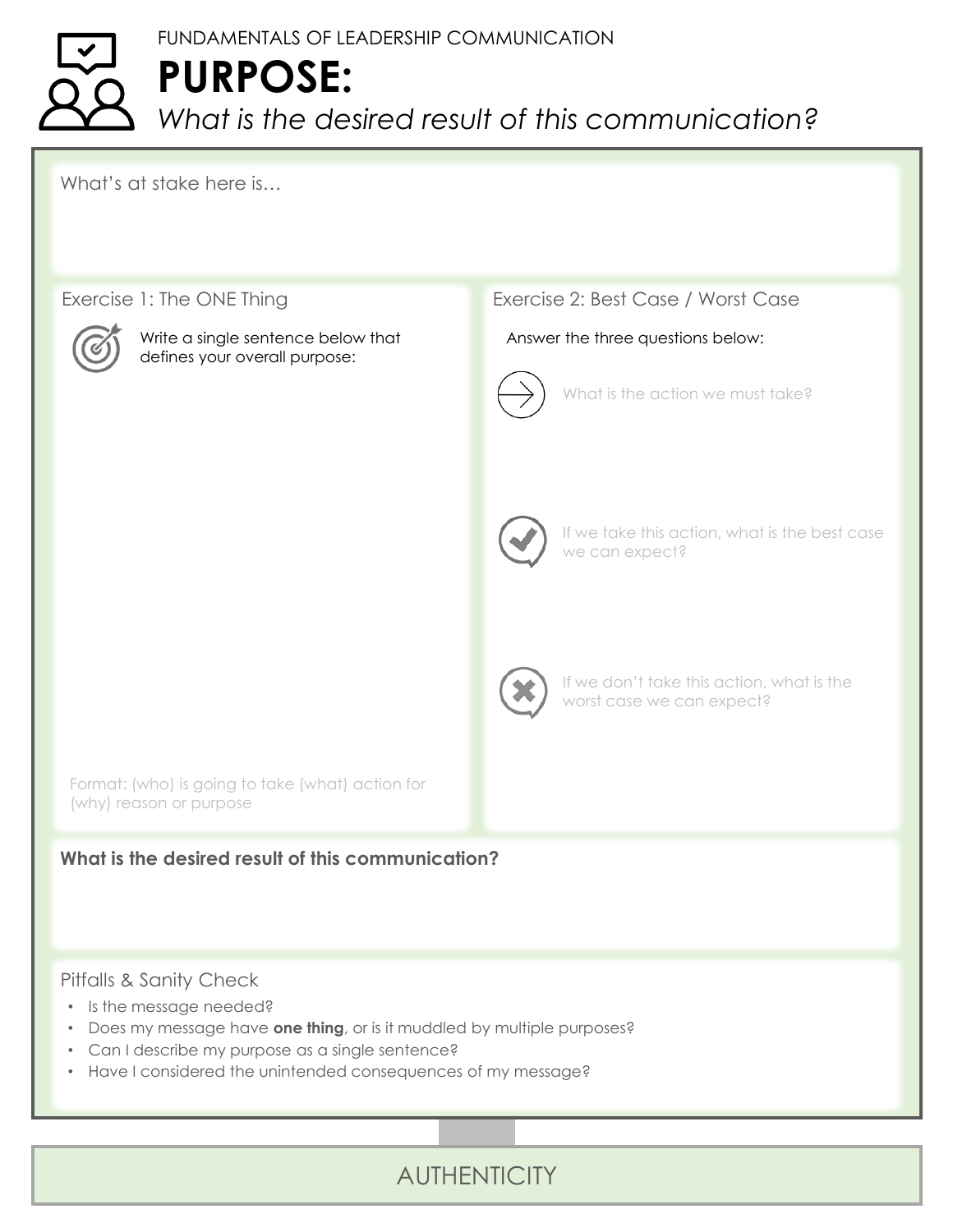## FUNDAMENTALS OF LEADERSHIP COMMUNICATION **PURPOSE:** *What is the desired result of this communication?*

What's at stake here is…

#### Exercise 1: The ONE Thing



Write a single sentence below that defines your overall purpose:

#### Exercise 2: Best Case / Worst Case

#### Answer the three questions below:



What is the action we must take?



If we take this action, what is the best case we can expect?



If we don't take this action, what is the worst case we can expect?

Format: (who) is going to take (what) action for (why) reason or purpose

#### **What is the desired result of this communication?**

#### Pitfalls & Sanity Check

- Is the message needed?
- Does my message have **one thing**, or is it muddled by multiple purposes?
- Can I describe my purpose as a single sentence?
- Have I considered the unintended consequences of my message?

### **AUTHENTICITY**